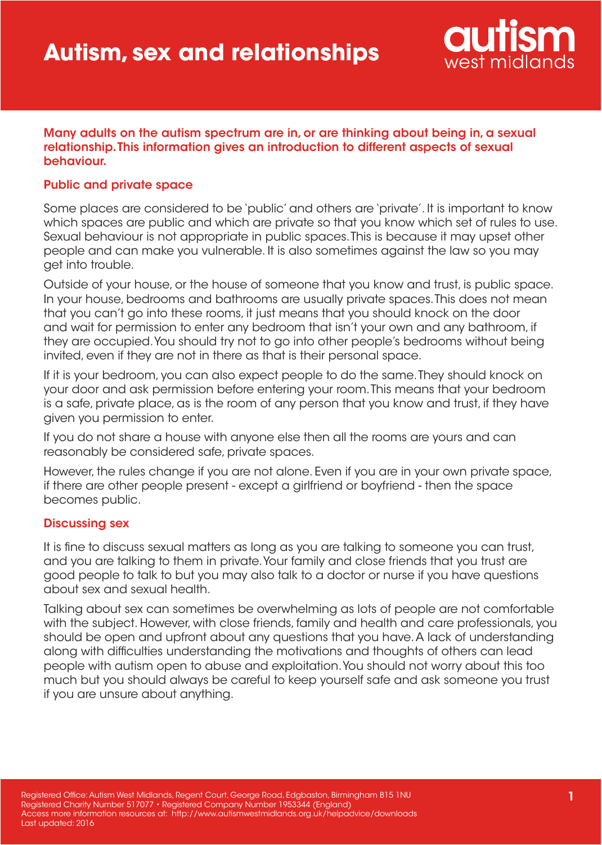

#### Many adults on the autism spectrum are in, or are thinking about being in, a sexual relationship. This information gives an introduction to different aspects of sexual behaviour.

### Public and private space

Some places are considered to be 'public' and others are 'private'. It is important to know which spaces are public and which are private so that you know which set of rules to use. Sexual behaviour is not appropriate in public spaces. This is because it may upset other people and can make you vulnerable. It is also sometimes against the law so you may get into trouble.

Outside of your house, or the house of someone that you know and trust, is public space. In your house, bedrooms and bathrooms are usually private spaces. This does not mean that you can't go into these rooms, it just means that you should knock on the door and wait for permission to enter any bedroom that isn't your own and any bathroom, if they are occupied. You should try not to go into other people's bedrooms without being invited, even if they are not in there as that is their personal space.

If it is your bedroom, you can also expect people to do the same. They should knock on your door and ask permission before entering your room. This means that your bedroom is a safe, private place, as is the room of any person that you know and trust, if they have given you permission to enter.

If you do not share a house with anyone else then all the rooms are yours and can reasonably be considered safe, private spaces.

However, the rules change if you are not alone. Even if you are in your own private space, if there are other people present - except a girlfriend or boyfriend - then the space becomes public.

### Discussing sex

It is fine to discuss sexual matters as long as you are talking to someone you can trust, and you are talking to them in private. Your family and close friends that you trust are good people to talk to but you may also talk to a doctor or nurse if you have questions about sex and sexual health.

Talking about sex can sometimes be overwhelming as lots of people are not comfortable with the subject. However, with close friends, family and health and care professionals, you should be open and upfront about any questions that you have. A lack of understanding along with difficulties understanding the motivations and thoughts of others can lead people with autism open to abuse and exploitation. You should not worry about this too much but you should always be careful to keep yourself safe and ask someone you trust if you are unsure about anything.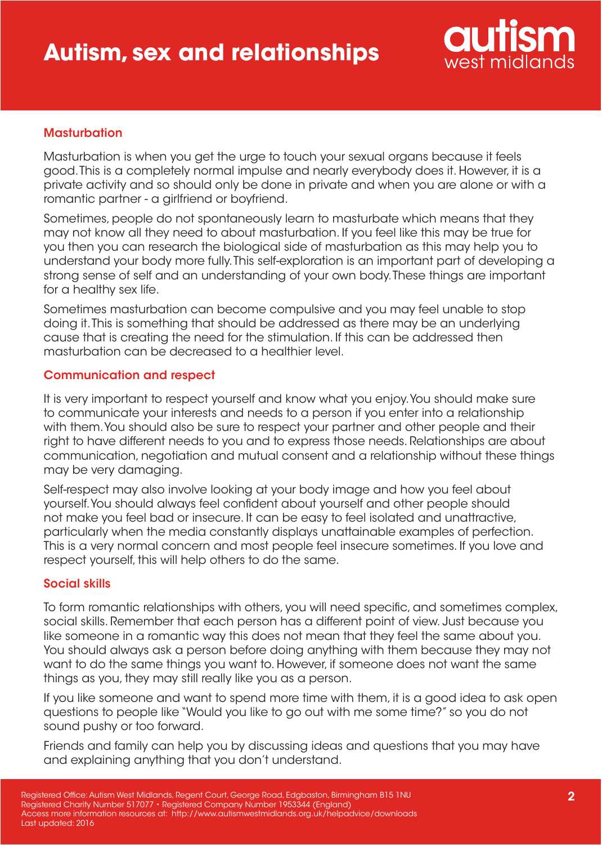

# **Masturbation**

Masturbation is when you get the urge to touch your sexual organs because it feels good. This is a completely normal impulse and nearly everybody does it. However, it is a private activity and so should only be done in private and when you are alone or with a romantic partner - a girlfriend or boyfriend.

Sometimes, people do not spontaneously learn to masturbate which means that they may not know all they need to about masturbation. If you feel like this may be true for you then you can research the biological side of masturbation as this may help you to understand your body more fully. This self-exploration is an important part of developing a strong sense of self and an understanding of your own body. These things are important for a healthy sex life.

Sometimes masturbation can become compulsive and you may feel unable to stop doing it. This is something that should be addressed as there may be an underlying cause that is creating the need for the stimulation. If this can be addressed then masturbation can be decreased to a healthier level.

# Communication and respect

It is very important to respect yourself and know what you enjoy. You should make sure to communicate your interests and needs to a person if you enter into a relationship with them. You should also be sure to respect your partner and other people and their right to have different needs to you and to express those needs. Relationships are about communication, negotiation and mutual consent and a relationship without these things may be very damaging.

Self-respect may also involve looking at your body image and how you feel about yourself. You should always feel confident about yourself and other people should not make you feel bad or insecure. It can be easy to feel isolated and unattractive, particularly when the media constantly displays unattainable examples of perfection. This is a very normal concern and most people feel insecure sometimes. If you love and respect yourself, this will help others to do the same.

### Social skills

To form romantic relationships with others, you will need specific, and sometimes complex, social skills. Remember that each person has a different point of view. Just because you like someone in a romantic way this does not mean that they feel the same about you. You should always ask a person before doing anything with them because they may not want to do the same things you want to. However, if someone does not want the same things as you, they may still really like you as a person.

If you like someone and want to spend more time with them, it is a good idea to ask open questions to people like "Would you like to go out with me some time?" so you do not sound pushy or too forward.

Friends and family can help you by discussing ideas and questions that you may have and explaining anything that you don't understand.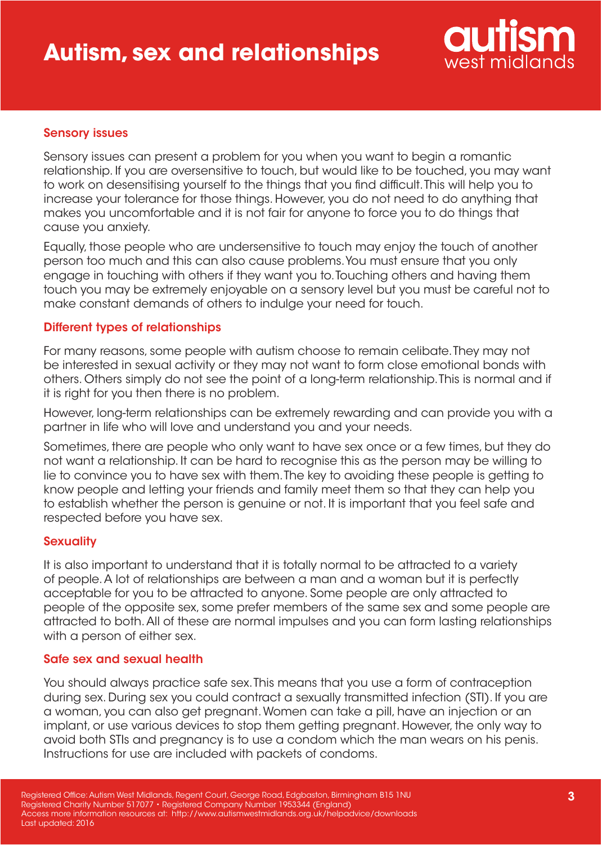

# Sensory issues

Sensory issues can present a problem for you when you want to begin a romantic relationship. If you are oversensitive to touch, but would like to be touched, you may want to work on desensitising yourself to the things that you find difficult. This will help you to increase your tolerance for those things. However, you do not need to do anything that makes you uncomfortable and it is not fair for anyone to force you to do things that cause you anxiety.

Equally, those people who are undersensitive to touch may enjoy the touch of another person too much and this can also cause problems. You must ensure that you only engage in touching with others if they want you to. Touching others and having them touch you may be extremely enjoyable on a sensory level but you must be careful not to make constant demands of others to indulge your need for touch.

### Different types of relationships

For many reasons, some people with autism choose to remain celibate. They may not be interested in sexual activity or they may not want to form close emotional bonds with others. Others simply do not see the point of a long-term relationship. This is normal and if it is right for you then there is no problem.

However, long-term relationships can be extremely rewarding and can provide you with a partner in life who will love and understand you and your needs.

Sometimes, there are people who only want to have sex once or a few times, but they do not want a relationship. It can be hard to recognise this as the person may be willing to lie to convince you to have sex with them. The key to avoiding these people is getting to know people and letting your friends and family meet them so that they can help you to establish whether the person is genuine or not. It is important that you feel safe and respected before you have sex.

### **Sexuality**

It is also important to understand that it is totally normal to be attracted to a variety of people. A lot of relationships are between a man and a woman but it is perfectly acceptable for you to be attracted to anyone. Some people are only attracted to people of the opposite sex, some prefer members of the same sex and some people are attracted to both. All of these are normal impulses and you can form lasting relationships with a person of either sex.

### Safe sex and sexual health

You should always practice safe sex. This means that you use a form of contraception during sex. During sex you could contract a sexually transmitted infection (STI). If you are a woman, you can also get pregnant. Women can take a pill, have an injection or an implant, or use various devices to stop them getting pregnant. However, the only way to avoid both STIs and pregnancy is to use a condom which the man wears on his penis. Instructions for use are included with packets of condoms.